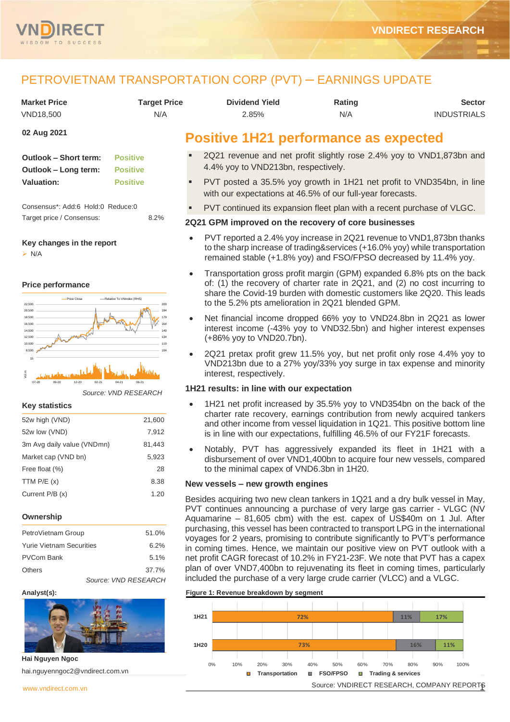

# PETROVIETNAM TRANSPORTATION CORP (PVT) ─ EARNINGS UPDATE

| <b>Market Price</b> | Tarqet Price | <b>Dividend Yield</b> | Rating | <b>Sector</b>      |
|---------------------|--------------|-----------------------|--------|--------------------|
| VND18,500           | N/A          | 2.85%                 | N/A    | <b>INDUSTRIALS</b> |

# **02 Aug 2021**

| <b>Outlook - Short term:</b> | <b>Positive</b> |
|------------------------------|-----------------|
| Outlook – Long term:         | <b>Positive</b> |
| <b>Valuation:</b>            | <b>Positive</b> |

Consensus\*: Add:6 Hold:0 Reduce:0 Target price / Consensus: 8.2%

#### **Key changes in the report**

➢ N/A

#### **Price performance**



*Source: VND RESEARCH*

#### **Key statistics**

| 52w high (VND)             | 21,600 |
|----------------------------|--------|
| 52w low (VND)              | 7,912  |
| 3m Avg daily value (VNDmn) | 81,443 |
| Market cap (VND bn)        | 5,923  |
| Free float (%)             | 28     |
| TTM $P/E(x)$               | 8.38   |
| Current $P/B(x)$           | 1.20   |
|                            |        |

#### **Ownership**

| PetroVietnam Group              | 51.0%                |
|---------------------------------|----------------------|
| <b>Yurie Vietnam Securities</b> | 6.2%                 |
| <b>PVCom Bank</b>               | 5.1%                 |
| <b>Others</b>                   | 37.7%                |
|                                 | Source: VND RESEARCH |

#### **Analyst(s):**



**Hai Nguyen Ngoc** hai.nguyenngoc2@vndirect.com.vn

# **Positive 1H21 performance as expected**

- 2Q21 revenue and net profit slightly rose 2.4% yoy to VND1,873bn and 4.4% yoy to VND213bn, respectively.
- PVT posted a 35.5% yoy growth in 1H21 net profit to VND354bn, in line with our expectations at 46.5% of our full-year forecasts.
- PVT continued its expansion fleet plan with a recent purchase of VLGC.

## **2Q21 GPM improved on the recovery of core businesses**

- PVT reported a 2.4% yoy increase in 2Q21 revenue to VND1,873bn thanks to the sharp increase of trading&services (+16.0% yoy) while transportation remained stable (+1.8% yoy) and FSO/FPSO decreased by 11.4% yoy.
- Transportation gross profit margin (GPM) expanded 6.8% pts on the back of: (1) the recovery of charter rate in 2Q21, and (2) no cost incurring to share the Covid-19 burden with domestic customers like 2Q20. This leads to the 5.2% pts amelioration in 2Q21 blended GPM.
- Net financial income dropped 66% yoy to VND24.8bn in 2Q21 as lower interest income (-43% yoy to VND32.5bn) and higher interest expenses (+86% yoy to VND20.7bn).
- 2Q21 pretax profit grew 11.5% yoy, but net profit only rose 4.4% yoy to VND213bn due to a 27% yoy/33% yoy surge in tax expense and minority interest, respectively.

### **1H21 results: in line with our expectation**

- 1H21 net profit increased by 35.5% yoy to VND354bn on the back of the charter rate recovery, earnings contribution from newly acquired tankers and other income from vessel liquidation in 1Q21. This positive bottom line is in line with our expectations, fulfilling 46.5% of our FY21F forecasts.
- Notably, PVT has aggressively expanded its fleet in 1H21 with a disbursement of over VND1,400bn to acquire four new vessels, compared to the minimal capex of VND6.3bn in 1H20.

#### **New vessels – new growth engines**

Besides acquiring two new clean tankers in 1Q21 and a dry bulk vessel in May, PVT continues announcing a purchase of very large gas carrier - VLGC (NV Aquamarine – 81,605 cbm) with the est. capex of US\$40m on 1 Jul. After purchasing, this vessel has been contracted to transport LPG in the international voyages for 2 years, promising to contribute significantly to PVT's performance in coming times. Hence, we maintain our positive view on PVT outlook with a net profit CAGR forecast of 10.2% in FY21-23F. We note that PVT has a capex plan of over VND7,400bn to rejuvenating its fleet in coming times, particularly included the purchase of a very large crude carrier (VLCC) and a VLGC.

## **Figure 1: Revenue breakdown by segment**

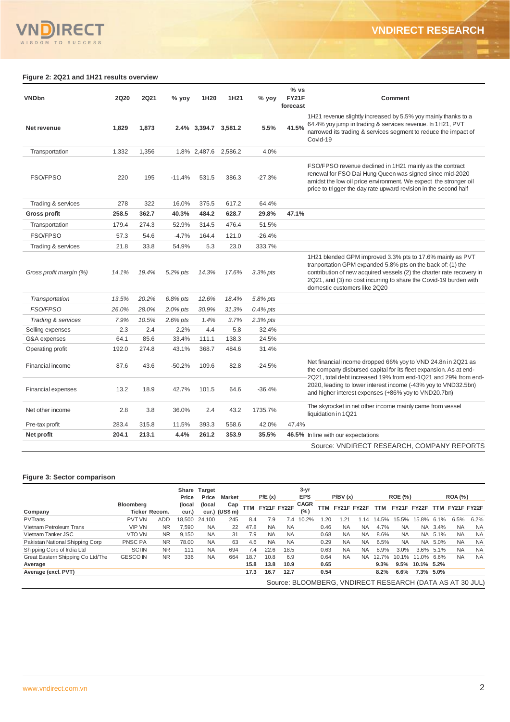## **Figure 2: 2Q21 and 1H21 results overview**

| <b>VNDbn</b>              | <b>2Q20</b> | <b>2Q21</b> | % yoy    | 1H20                 | 1H <sub>21</sub> | % yoy       | % vs<br><b>FY21F</b><br>forecast | Comment                                                                                                                                                                                                                                                                                                |
|---------------------------|-------------|-------------|----------|----------------------|------------------|-------------|----------------------------------|--------------------------------------------------------------------------------------------------------------------------------------------------------------------------------------------------------------------------------------------------------------------------------------------------------|
| Net revenue               | 1,829       | 1,873       |          | 2.4% 3,394.7 3,581.2 |                  | 5.5%        | 41.5%                            | 1H21 revenue slightly increased by 5.5% yoy mainly thanks to a<br>64.4% yoy jump in trading & services revenue. In 1H21, PVT<br>narrowed its trading & services segment to reduce the impact of<br>Covid-19                                                                                            |
| Transportation            | 1,332       | 1,356       |          | 1.8% 2,487.6         | 2,586.2          | 4.0%        |                                  |                                                                                                                                                                                                                                                                                                        |
| <b>FSO/FPSO</b>           | 220         | 195         | $-11.4%$ | 531.5                | 386.3            | $-27.3%$    |                                  | FSO/FPSO revenue declined in 1H21 mainly as the contract<br>renewal for FSO Dai Hung Queen was signed since mid-2020<br>amidst the low oil price environment. We expect the stronger oil<br>price to trigger the day rate upward revision in the second half                                           |
| Trading & services        | 278         | 322         | 16.0%    | 375.5                | 617.2            | 64.4%       |                                  |                                                                                                                                                                                                                                                                                                        |
| <b>Gross profit</b>       | 258.5       | 362.7       | 40.3%    | 484.2                | 628.7            | 29.8%       | 47.1%                            |                                                                                                                                                                                                                                                                                                        |
| Transportation            | 179.4       | 274.3       | 52.9%    | 314.5                | 476.4            | 51.5%       |                                  |                                                                                                                                                                                                                                                                                                        |
| <b>FSO/FPSO</b>           | 57.3        | 54.6        | $-4.7%$  | 164.4                | 121.0            | $-26.4%$    |                                  |                                                                                                                                                                                                                                                                                                        |
| Trading & services        | 21.8        | 33.8        | 54.9%    | 5.3                  | 23.0             | 333.7%      |                                  |                                                                                                                                                                                                                                                                                                        |
| Gross profit margin (%)   | 14.1%       | 19.4%       | 5.2% pts | 14.3%                | 17.6%            | $3.3\%$ pts |                                  | 1H21 blended GPM improved 3.3% pts to 17.6% mainly as PVT<br>tranportation GPM expanded 5.8% pts on the back of: (1) the<br>contribution of new acquired vessels (2) the charter rate recovery in<br>2Q21, and (3) no cost incurring to share the Covid-19 burden with<br>domestic customers like 2Q20 |
| Transportation            | 13.5%       | 20.2%       | 6.8% pts | 12.6%                | 18.4%            | 5.8% pts    |                                  |                                                                                                                                                                                                                                                                                                        |
| <b>FSO/FPSO</b>           | 26.0%       | 28.0%       | 2.0% pts | 30.9%                | 31.3%            | $0.4\%$ pts |                                  |                                                                                                                                                                                                                                                                                                        |
| Trading & services        | 7.9%        | 10.5%       | 2.6% pts | 1.4%                 | 3.7%             | 2.3% pts    |                                  |                                                                                                                                                                                                                                                                                                        |
| Selling expenses          | 2.3         | 2.4         | 2.2%     | 4.4                  | 5.8              | 32.4%       |                                  |                                                                                                                                                                                                                                                                                                        |
| G&A expenses              | 64.1        | 85.6        | 33.4%    | 111.1                | 138.3            | 24.5%       |                                  |                                                                                                                                                                                                                                                                                                        |
| Operating profit          | 192.0       | 274.8       | 43.1%    | 368.7                | 484.6            | 31.4%       |                                  |                                                                                                                                                                                                                                                                                                        |
| Financial income          | 87.6        | 43.6        | $-50.2%$ | 109.6                | 82.8             | $-24.5%$    |                                  | Net financial income dropped 66% yoy to VND 24.8n in 2Q21 as<br>the company disbursed capital for its fleet expansion. As at end-<br>2Q21, total debt increased 19% from end-1Q21 and 29% from end-                                                                                                    |
| <b>Financial expenses</b> | 13.2        | 18.9        | 42.7%    | 101.5                | 64.6             | $-36.4%$    |                                  | 2020, leading to lower interest income (-43% yoy to VND32.5bn)<br>and higher interest expenses (+86% yoy to VND20.7bn)                                                                                                                                                                                 |
| Net other income          | 2.8         | 3.8         | 36.0%    | 2.4                  | 43.2             | 1735.7%     |                                  | The skyrocket in net other income mainly came from vessel<br>liquidation in 1Q21                                                                                                                                                                                                                       |
| Pre-tax profit            | 283.4       | 315.8       | 11.5%    | 393.3                | 558.6            | 42.0%       | 47.4%                            |                                                                                                                                                                                                                                                                                                        |
| Net profit                | 204.1       | 213.1       | 4.4%     | 261.2                | 353.9            | 35.5%       |                                  | 46.5% In line with our expectations                                                                                                                                                                                                                                                                    |
|                           |             |             |          |                      |                  |             |                                  | Source: VNDIRECT RESEARCH, COMPANY REPORTS                                                                                                                                                                                                                                                             |

### **Figure 3: Sector comparison**

|                                   |                                          |                | Price            | Share Target<br>Price | <b>Market</b>          |      | P/E(x)    |             | 3-yr<br><b>EPS</b> |      | P/BV(x)     |           |       | <b>ROE (%)</b> |                 |           | <b>ROA</b> (%)                                           |           |
|-----------------------------------|------------------------------------------|----------------|------------------|-----------------------|------------------------|------|-----------|-------------|--------------------|------|-------------|-----------|-------|----------------|-----------------|-----------|----------------------------------------------------------|-----------|
| Company                           | <b>Bloomberg</b><br><b>Ticker Recom.</b> |                | (local)<br>cur.) | (local)               | Cap<br>cur.) $(US$ m)$ |      |           | FY21F FY22F | <b>CAGR</b><br>(%) | TTM  | FY21F FY22F |           |       |                |                 |           | TTM FY21F FY22F TTM FY21F FY22F                          |           |
| <b>PVTrans</b>                    | <b>PVT VN</b>                            | <b>ADD</b>     | 18.500           | 24.100                | 245                    | 8.4  | 7.9       | 7.4         | 10.2%              | 1.20 | 1.21        | 14        | 14.5% | 15.5%          | 15.8%           | 6.1%      | 6.5%                                                     | 6.2%      |
| Vietnam Petroleum Trans           | <b>VIP VN</b>                            | <b>NR</b>      | 7.590            | <b>NA</b>             | 22                     | 47.8 | <b>NA</b> | <b>NA</b>   |                    | 0.46 | <b>NA</b>   | NA        | 4.7%  | NA.            |                 | NA 3.4%   | <b>NA</b>                                                | <b>NA</b> |
| Vietnam Tanker JSC                | VTO VN                                   | N <sub>R</sub> | 9.150            | <b>NA</b>             | 31                     | 7.9  | <b>NA</b> | <b>NA</b>   |                    | 0.68 | <b>NA</b>   | NA        | 8.6%  | <b>NA</b>      |                 | NA 5.1%   | <b>NA</b>                                                | <b>NA</b> |
| Pakistan National Shipping Corp   | <b>PNSC PA</b>                           | <b>NR</b>      | 78.00            | <b>NA</b>             | 63                     | 4.6  | <b>NA</b> | <b>NA</b>   |                    | 0.29 | <b>NA</b>   | <b>NA</b> | 6.5%  | <b>NA</b>      | NA.             | 5.0%      | <b>NA</b>                                                | <b>NA</b> |
| Shipping Corp of India Ltd        | <b>SCIN</b>                              | <b>NR</b>      | 111              | <b>NA</b>             | 694                    | 7.4  | 22.6      | 18.5        |                    | 0.63 | <b>NA</b>   | NA        | 8.9%  | 3.0%           |                 | 3.6% 5.1% | <b>NA</b>                                                | <b>NA</b> |
| Great Eastern Shipping Co Ltd/The | <b>GESCO IN</b>                          | <b>NR</b>      | 336              | <b>NA</b>             | 664                    | 18.7 | 10.8      | 6.9         |                    | 0.64 | <b>NA</b>   | <b>NA</b> | 12.7% | $10.1\%$       | 11.0% 6.6%      |           | <b>NA</b>                                                | <b>NA</b> |
| Average                           |                                          |                |                  |                       |                        | 15.8 | 13.8      | 10.9        |                    | 0.65 |             |           | 9.3%  |                | 9.5% 10.1% 5.2% |           |                                                          |           |
| Average (excl. PVT)               |                                          |                |                  |                       |                        | 17.3 | 16.7      | 12.7        |                    | 0.54 |             |           | 8.2%  | 6.6%           | 7.3% 5.0%       |           |                                                          |           |
|                                   |                                          |                |                  |                       |                        |      |           |             |                    |      |             |           |       |                |                 |           | Source: BLOOMBERG, VNDIRECT RESEARCH (DATA AS AT 30 JUL) |           |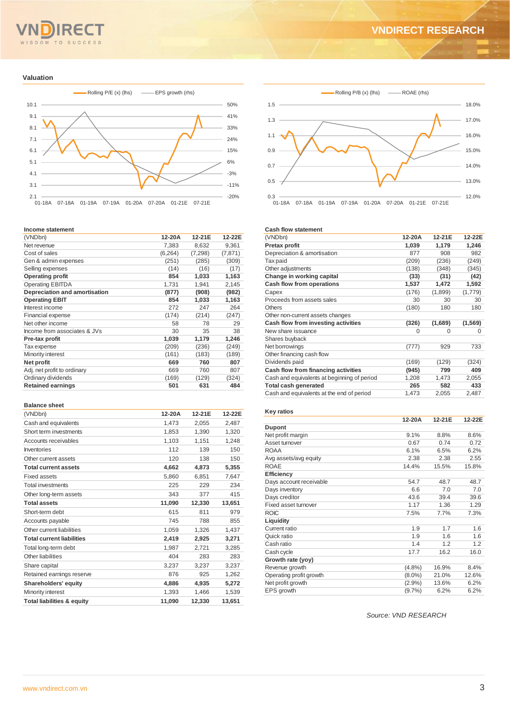#### $Q$  M TO SUCCESS  $S<sub>D</sub>$

# **VNDIRECT RESEARCH**

#### **Valuation**



#### **Income statement**

| (VNDbn)                       | 12-20A   | 12-21E  | 12-22E   |
|-------------------------------|----------|---------|----------|
| Net revenue                   | 7,383    | 8,632   | 9,361    |
| Cost of sales                 | (6, 264) | (7,298) | (7, 871) |
| Gen & admin expenses          | (251)    | (285)   | (309)    |
| Selling expenses              | (14)     | (16)    | (17)     |
| <b>Operating profit</b>       | 854      | 1,033   | 1,163    |
| <b>Operating EBITDA</b>       | 1,731    | 1,941   | 2,145    |
| Depreciation and amortisation | (877)    | (908)   | (982)    |
| <b>Operating EBIT</b>         | 854      | 1,033   | 1,163    |
| Interest income               | 272      | 247     | 264      |
| Financial expense             | (174)    | (214)   | (247)    |
| Net other income              | 58       | 78      | 29       |
| Income from associates & JVs  | 30       | 35      | 38       |
| Pre-tax profit                | 1,039    | 1,179   | 1,246    |
| Tax expense                   | (209)    | (236)   | (249)    |
| Minority interest             | (161)    | (183)   | (189)    |
| Net profit                    | 669      | 760     | 807      |
| Adj. net profit to ordinary   | 669      | 760     | 807      |
| Ordinary dividends            | (169)    | (129)   | (324)    |
| <b>Retained earnings</b>      | 501      | 631     | 484      |

#### **Balance sheet**

| (VNDbn)                               | 12-20A | 12-21E | 12-22E |
|---------------------------------------|--------|--------|--------|
| Cash and equivalents                  | 1,473  | 2,055  | 2,487  |
| Short term investments                | 1,853  | 1,390  | 1,320  |
| Accounts receivables                  | 1,103  | 1,151  | 1,248  |
| Inventories                           | 112    | 139    | 150    |
| Other current assets                  | 120    | 138    | 150    |
| <b>Total current assets</b>           | 4,662  | 4,873  | 5,355  |
| <b>Fixed assets</b>                   | 5,860  | 6,851  | 7.647  |
| <b>Total investments</b>              | 225    | 229    | 234    |
| Other long-term assets                | 343    | 377    | 415    |
| <b>Total assets</b>                   | 11,090 | 12,330 | 13,651 |
| Short-term debt                       | 615    | 811    | 979    |
| Accounts payable                      | 745    | 788    | 855    |
| Other current liabilities             | 1,059  | 1,326  | 1,437  |
| <b>Total current liabilities</b>      | 2,419  | 2,925  | 3,271  |
| Total long-term debt                  | 1,987  | 2,721  | 3,285  |
| Other liabilities                     | 404    | 283    | 283    |
| Share capital                         | 3,237  | 3.237  | 3,237  |
| Retained earnings reserve             | 876    | 925    | 1,262  |
| Shareholders' equity                  | 4,886  | 4.935  | 5,272  |
| Minority interest                     | 1,393  | 1,466  | 1,539  |
| <b>Total liabilities &amp; equity</b> | 11.090 | 12.330 | 13.651 |



#### **Cash flow statement**

| (VNDbn)                                     | 12-20A | 12-21E  | 12-22E   |
|---------------------------------------------|--------|---------|----------|
| Pretax profit                               | 1,039  | 1,179   | 1,246    |
| Depreciation & amortisation                 | 877    | 908     | 982      |
| Tax paid                                    | (209)  | (236)   | (249)    |
| Other adjustments                           | (138)  | (348)   | (345)    |
| Change in working capital                   | (33)   | (31)    | (42)     |
| Cash flow from operations                   | 1,537  | 1,472   | 1,592    |
| Capex                                       | (176)  | (1,899) | (1,779)  |
| Proceeds from assets sales                  | 30     | 30      | 30       |
| Others                                      | (180)  | 180     | 180      |
| Other non-current assets changes            |        |         |          |
| Cash flow from investing activities         | (326)  | (1,689) | (1, 569) |
| New share issuance                          | 0      | 0       | 0        |
| Shares buyback                              |        |         |          |
| Net borrowings                              | (777)  | 929     | 733      |
| Other financing cash flow                   |        |         |          |
| Dividends paid                              | (169)  | (129)   | (324)    |
| Cash flow from financing activities         | (945)  | 799     | 409      |
| Cash and equivalents at beginning of period | 1,208  | 1,473   | 2,055    |
| <b>Total cash generated</b>                 | 265    | 582     | 433      |
| Cash and equivalents at the end of period   | 1,473  | 2,055   | 2,487    |

### **Key ratios**

|                         | 12-20A    | 12-21E | 12-22E |
|-------------------------|-----------|--------|--------|
| Dupont                  |           |        |        |
| Net profit margin       | 9.1%      | 8.8%   | 8.6%   |
| Asset turnover          | 0.67      | 0.74   | 0.72   |
| <b>ROAA</b>             | 6.1%      | 6.5%   | 6.2%   |
| Avg assets/avg equity   | 2.38      | 2.38   | 2.55   |
| <b>ROAE</b>             | 14.4%     | 15.5%  | 15.8%  |
| <b>Efficiency</b>       |           |        |        |
| Days account receivable | 54.7      | 48.7   | 48.7   |
| Days inventory          | 6.6       | 7.0    | 7.0    |
| Days creditor           | 43.6      | 39.4   | 39.6   |
| Fixed asset turnover    | 1.17      | 1.36   | 1.29   |
| <b>ROIC</b>             | 7.5%      | 7.7%   | 7.3%   |
| Liquidity               |           |        |        |
| Current ratio           | 1.9       | 1.7    | 1.6    |
| Quick ratio             | 1.9       | 1.6    | 1.6    |
| Cash ratio              | 1.4       | 1.2    | 1.2    |
| Cash cycle              | 17.7      | 16.2   | 16.0   |
| Growth rate (yoy)       |           |        |        |
| Revenue growth          | $(4.8\%)$ | 16.9%  | 8.4%   |
| Operating profit growth | $(8.0\%)$ | 21.0%  | 12.6%  |
| Net profit growth       | $(2.9\%)$ | 13.6%  | 6.2%   |
| EPS growth              | (9.7%     | 6.2%   | 6.2%   |

*Source: VND RESEARCH*